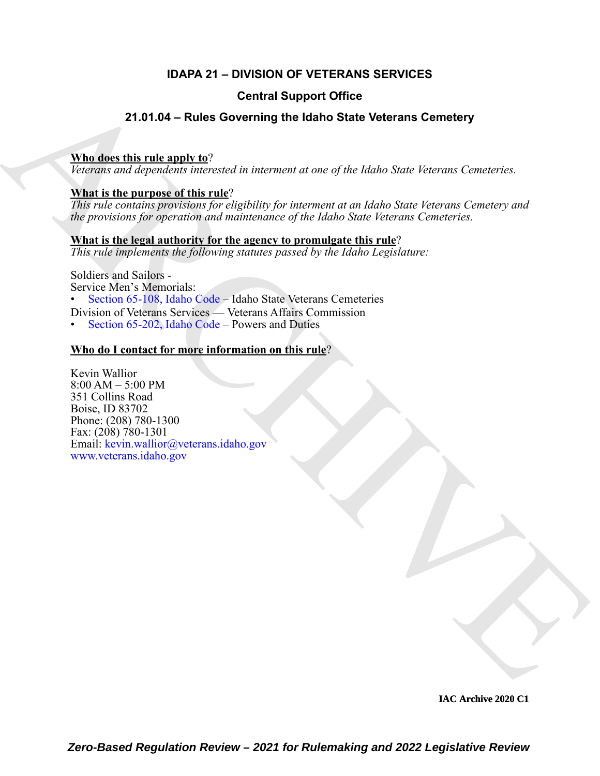# **IDAPA 21 – DIVISION OF VETERANS SERVICES**

## **Central Support Office**

## **21.01.04 – Rules Governing the Idaho State Veterans Cemetery**

#### **Who does this rule apply to**?

*Veterans and dependents interested in interment at one of the Idaho State Veterans Cemeteries.*

#### **What is the purpose of this rule**?

*This rule contains provisions for eligibility for interment at an Idaho State Veterans Cemetery and the provisions for operation and maintenance of the Idaho State Veterans Cemeteries.*

#### **What is the legal authority for the agency to promulgate this rule**?

*This rule implements the following statutes passed by the Idaho Legislature:*

Soldiers and Sailors -

- Service Men's Memorials: • Section 65-108, Idaho Code – Idaho State Veterans Cemeteries Division of Veterans Services — Veterans Affairs Commission
- Section 65-202, Idaho Code Powers and Duties

### **Who do I contact for more information on this rule**?

Contral Support Office<br>
21.01.04 – Rules Governing the Idaho Siste [V](http://www.veterans.idaho.gov)eterans Cornetery<br>
Whether this relation binds interested in internet at one of the Idaho Siste Veterans Conciences.<br>
Vertical is pure interested in inter Kevin Wallior 8:00 AM – 5:00 PM 351 Collins Road Boise, ID 83702 Phone: (208) 780-1300 Fax: (208) 780-1301 Email: kevin.wallior@veterans.idaho.gov www.veterans.idaho.gov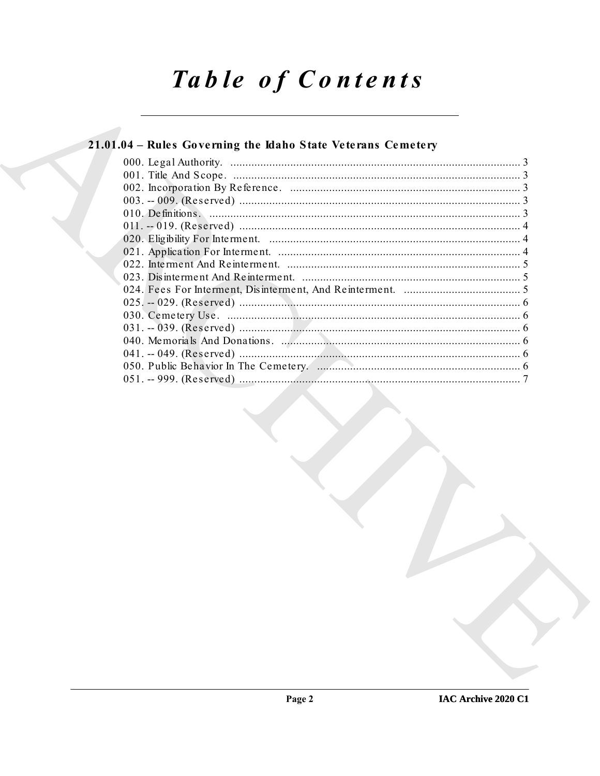# Table of Contents

# 21.01.04 - Rules Governing the Idaho State Veterans Cemetery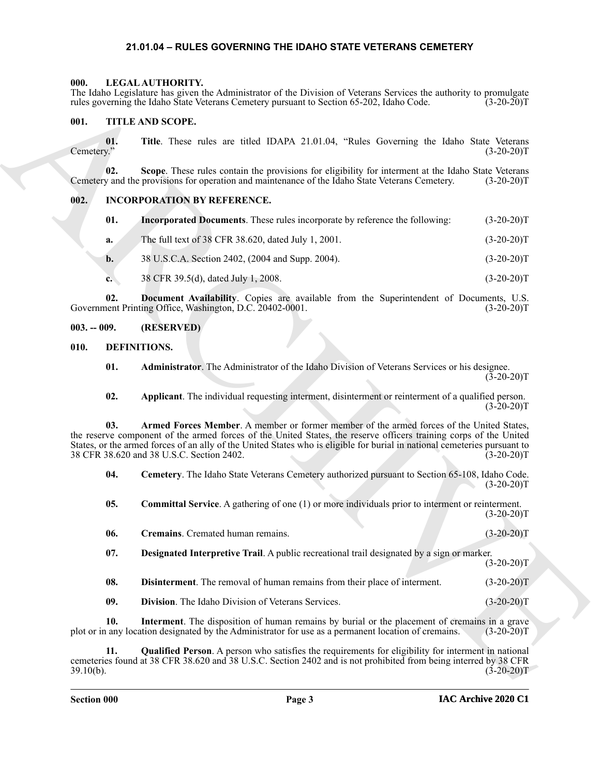#### <span id="page-2-19"></span>**21.01.04 – RULES GOVERNING THE IDAHO STATE VETERANS CEMETERY**

#### <span id="page-2-1"></span><span id="page-2-0"></span>**000. LEGAL AUTHORITY.**

#### <span id="page-2-20"></span><span id="page-2-2"></span>**001. TITLE AND SCOPE.**

#### <span id="page-2-3"></span>**002. INCORPORATION BY REFERENCE.**

<span id="page-2-18"></span>

| 01.            | <b>Incorporated Documents.</b> These rules incorporate by reference the following: | $(3-20-20)T$ |
|----------------|------------------------------------------------------------------------------------|--------------|
| a.             | The full text of 38 CFR 38.620, dated July 1, 2001.                                | $(3-20-20)T$ |
| $\mathbf{b}$ . | 38 U.S.C.A. Section 2402, (2004 and Supp. 2004).                                   | $(3-20-20)T$ |
| $c_{\cdot}$    | 38 CFR 39.5(d), dated July 1, 2008.                                                | $(3-20-20)T$ |

#### <span id="page-2-5"></span><span id="page-2-4"></span>**010. DEFINITIONS.**

- <span id="page-2-7"></span><span id="page-2-6"></span>**01. Administrator**. The Administrator of the Idaho Division of Veterans Services or his designee.  $(3-20-20)T$
- <span id="page-2-17"></span><span id="page-2-16"></span><span id="page-2-15"></span><span id="page-2-14"></span><span id="page-2-13"></span><span id="page-2-12"></span><span id="page-2-11"></span><span id="page-2-10"></span><span id="page-2-9"></span><span id="page-2-8"></span>**02. Applicant**. The individual requesting interment, disinterment or reinterment of a qualified person.  $(3-20-20)T$

| The Idaho Legislature has given the Administrator of the Division of Veterans Services the authority to promulgate<br>rules governing the Idaho State Veterans Cemetery pursuant to Section 65-202, Idaho Code.<br>$(3-20-20)T$ |                |                                                                                                                                                                                                                                                                                                                                                                                         |              |  |  |
|---------------------------------------------------------------------------------------------------------------------------------------------------------------------------------------------------------------------------------|----------------|-----------------------------------------------------------------------------------------------------------------------------------------------------------------------------------------------------------------------------------------------------------------------------------------------------------------------------------------------------------------------------------------|--------------|--|--|
| 001.                                                                                                                                                                                                                            |                | TITLE AND SCOPE.                                                                                                                                                                                                                                                                                                                                                                        |              |  |  |
| Cemetery."                                                                                                                                                                                                                      | 01.            | Title. These rules are titled IDAPA 21.01.04, "Rules Governing the Idaho State Veterans                                                                                                                                                                                                                                                                                                 | $(3-20-20)T$ |  |  |
|                                                                                                                                                                                                                                 | 02.            | Scope. These rules contain the provisions for eligibility for interment at the Idaho State Veterans<br>Cemetery and the provisions for operation and maintenance of the Idaho State Veterans Cemetery.                                                                                                                                                                                  | $(3-20-20)T$ |  |  |
| 002.                                                                                                                                                                                                                            |                | <b>INCORPORATION BY REFERENCE.</b>                                                                                                                                                                                                                                                                                                                                                      |              |  |  |
|                                                                                                                                                                                                                                 | 01.            | <b>Incorporated Documents</b> . These rules incorporate by reference the following:                                                                                                                                                                                                                                                                                                     | $(3-20-20)T$ |  |  |
|                                                                                                                                                                                                                                 | a.             | The full text of 38 CFR 38.620, dated July 1, 2001.                                                                                                                                                                                                                                                                                                                                     | $(3-20-20)T$ |  |  |
|                                                                                                                                                                                                                                 | $\mathbf{b}$ . | 38 U.S.C.A. Section 2402, (2004 and Supp. 2004).                                                                                                                                                                                                                                                                                                                                        | $(3-20-20)T$ |  |  |
|                                                                                                                                                                                                                                 | $c_{\cdot}$    | 38 CFR 39.5(d), dated July 1, 2008.                                                                                                                                                                                                                                                                                                                                                     | $(3-20-20)T$ |  |  |
|                                                                                                                                                                                                                                 | 02.            | Document Availability. Copies are available from the Superintendent of Documents, U.S.<br>Government Printing Office, Washington, D.C. 20402-0001.                                                                                                                                                                                                                                      | $(3-20-20)T$ |  |  |
| $003. - 009.$                                                                                                                                                                                                                   |                | (RESERVED)                                                                                                                                                                                                                                                                                                                                                                              |              |  |  |
| 010.                                                                                                                                                                                                                            |                | DEFINITIONS.                                                                                                                                                                                                                                                                                                                                                                            |              |  |  |
|                                                                                                                                                                                                                                 | 01.            | Administrator. The Administrator of the Idaho Division of Veterans Services or his designee.                                                                                                                                                                                                                                                                                            | $(3-20-20)T$ |  |  |
|                                                                                                                                                                                                                                 | 02.            | Applicant. The individual requesting interment, disinterment or reinterment of a qualified person.                                                                                                                                                                                                                                                                                      | $(3-20-20)T$ |  |  |
|                                                                                                                                                                                                                                 | 03.            | Armed Forces Member. A member or former member of the armed forces of the United States,<br>the reserve component of the armed forces of the United States, the reserve officers training corps of the United<br>States, or the armed forces of an ally of the United States who is eligible for burial in national cemeteries pursuant to<br>38 CFR 38.620 and 38 U.S.C. Section 2402. | $(3-20-20)T$ |  |  |
|                                                                                                                                                                                                                                 | 04.            | Cemetery. The Idaho State Veterans Cemetery authorized pursuant to Section 65-108, Idaho Code.                                                                                                                                                                                                                                                                                          | $(3-20-20)T$ |  |  |
|                                                                                                                                                                                                                                 | 05.            | <b>Committal Service.</b> A gathering of one (1) or more individuals prior to interment or reinterment.                                                                                                                                                                                                                                                                                 | $(3-20-20)T$ |  |  |
|                                                                                                                                                                                                                                 | 06.            | Cremains. Cremated human remains.                                                                                                                                                                                                                                                                                                                                                       | $(3-20-20)T$ |  |  |
|                                                                                                                                                                                                                                 | 07.            | <b>Designated Interpretive Trail.</b> A public recreational trail designated by a sign or marker.                                                                                                                                                                                                                                                                                       | $(3-20-20)T$ |  |  |
|                                                                                                                                                                                                                                 | 08.            | Disinterment. The removal of human remains from their place of interment.                                                                                                                                                                                                                                                                                                               | $(3-20-20)T$ |  |  |
|                                                                                                                                                                                                                                 | 09.            | Division. The Idaho Division of Veterans Services.                                                                                                                                                                                                                                                                                                                                      | $(3-20-20)T$ |  |  |
|                                                                                                                                                                                                                                 | 10.            | <b>Interment</b> . The disposition of human remains by burial or the placement of cremains in a grave<br>plot or in any location designated by the Administrator for use as a permanent location of cremains.                                                                                                                                                                           | $(3-20-20)T$ |  |  |
| $39.10(b)$ .                                                                                                                                                                                                                    | 11.            | <b>Qualified Person</b> . A person who satisfies the requirements for eligibility for interment in national<br>cemeteries found at 38 CFR 38.620 and 38 U.S.C. Section 2402 and is not prohibited from being interred by 38 CFR                                                                                                                                                         | $(3-20-20)T$ |  |  |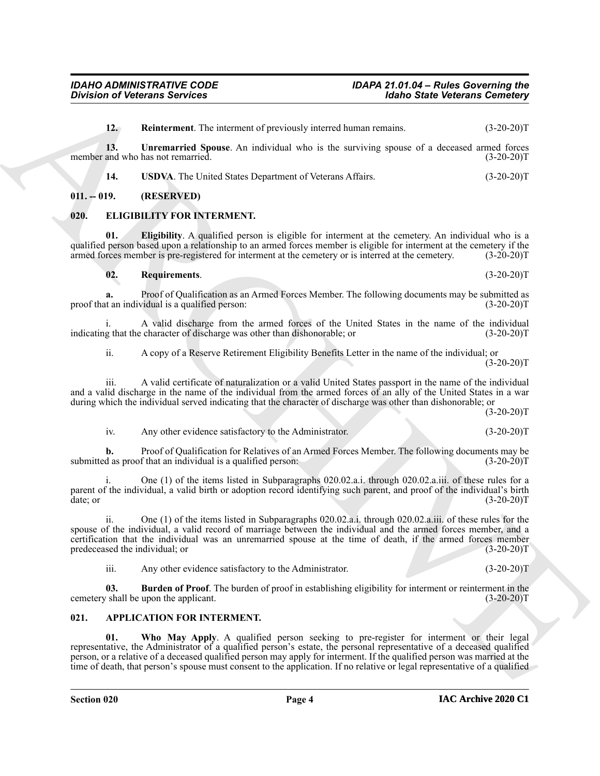<span id="page-3-6"></span><span id="page-3-5"></span>**12. Reinterment**. The interment of previously interred human remains. (3-20-20)T

**13. Unremarried Spouse**. An individual who is the surviving spouse of a deceased armed forces member and who has not remarried. (3-20-20)T

<span id="page-3-8"></span><span id="page-3-7"></span>**14. USDVA**. The United States Department of Veterans Affairs. (3-20-20)T

<span id="page-3-0"></span>**011. -- 019. (RESERVED)**

#### <span id="page-3-1"></span>**020. ELIGIBILITY FOR INTERMENT.**

**01. Eligibility**. A qualified person is eligible for interment at the cemetery. An individual who is a qualified person based upon a relationship to an armed forces member is eligible for interment at the cemetery if the armed forces member is pre-registered for interment at the cemetery or is interred at the cemetery. (3-20-20)T

#### <span id="page-3-11"></span><span id="page-3-10"></span>**02. Requirements**. (3-20-20)T

**a.** Proof of Qualification as an Armed Forces Member. The following documents may be submitted as t an individual is a qualified person: (3-20-20) proof that an individual is a qualified person:

i. A valid discharge from the armed forces of the United States in the name of the individual g that the character of discharge was other than dishonorable; or (3-20-20) indicating that the character of discharge was other than dishonorable; or

ii. A copy of a Reserve Retirement Eligibility Benefits Letter in the name of the individual; or  $(3-20-20)T$ 

iii. A valid certificate of naturalization or a valid United States passport in the name of the individual and a valid discharge in the name of the individual from the armed forces of an ally of the United States in a war during which the individual served indicating that the character of discharge was other than dishonorable; or

 $(3-20-20)T$ 

iv. Any other evidence satisfactory to the Administrator. (3-20-20)T

**b.** Proof of Qualification for Relatives of an Armed Forces Member. The following documents may be submitted as proof that an individual is a qualified person: (3-20-20) (3-20-20) (3-20-20)

One (1) of the items listed in Subparagraphs 020.02.a.i. through 020.02.a.iii. of these rules for a parent of the individual, a valid birth or adoption record identifying such parent, and proof of the individual's birth date; or (3-20-20)  $\frac{d}{dt}$  date; or (3-20-20)T

**Solvizion of Veltecoma Services**<br>
12.2 **Patterns and Control Control interest of provided interest almost means of the control interest and control interest.<br>
13. <b>Ensumering Systems** An interest of Network Mirks.<br>
14. ii. One (1) of the items listed in Subparagraphs 020.02.a.i. through 020.02.a.iii. of these rules for the spouse of the individual, a valid record of marriage between the individual and the armed forces member, and a certification that the individual was an unremarried spouse at the time of death, if the armed forces member predeceased the individual; or (3-20-20)T

<span id="page-3-9"></span><span id="page-3-4"></span>iii. Any other evidence satisfactory to the Administrator. (3-20-20)T

**03. Burden of Proof**. The burden of proof in establishing eligibility for interment or reinterment in the <br>(3-20-20)T cemetery shall be upon the applicant.

#### <span id="page-3-3"></span><span id="page-3-2"></span>**021. APPLICATION FOR INTERMENT.**

**01. Who May Apply**. A qualified person seeking to pre-register for interment or their legal representative, the Administrator of a qualified person's estate, the personal representative of a deceased qualified person, or a relative of a deceased qualified person may apply for interment. If the qualified person was married at the time of death, that person's spouse must consent to the application. If no relative or legal representative of a qualified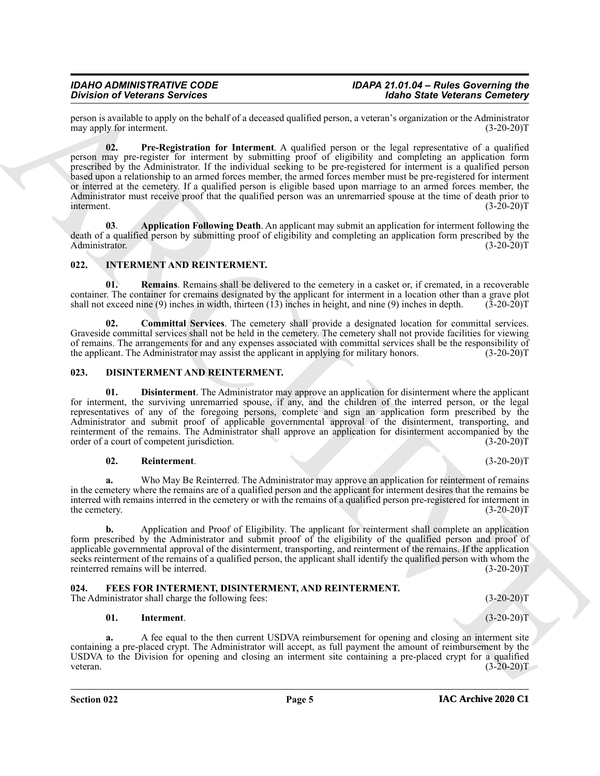<span id="page-4-4"></span>person is available to apply on the behalf of a deceased qualified person, a veteran's organization or the Administrator may apply for interment.

Someon and the same state and the same of the same of the same state of the same state of the same state of the same state of the same state of the same state of the same state of the same state of the same state of the s **02. Pre-Registration for Interment**. A qualified person or the legal representative of a qualified person may pre-register for interment by submitting proof of eligibility and completing an application form prescribed by the Administrator. If the individual seeking to be pre-registered for interment is a qualified person based upon a relationship to an armed forces member, the armed forces member must be pre-registered for interment or interred at the cemetery. If a qualified person is eligible based upon marriage to an armed forces member, the Administrator must receive proof that the qualified person was an unremarried spouse at the time of death prior to interment. (3-20-20)T

<span id="page-4-3"></span>**03**. **Application Following Death**. An applicant may submit an application for interment following the death of a qualified person by submitting proof of eligibility and completing an application form prescribed by the Administrator. (3-20-20)T

#### <span id="page-4-10"></span><span id="page-4-0"></span>**022. INTERMENT AND REINTERMENT.**

<span id="page-4-12"></span>**01. Remains**. Remains shall be delivered to the cemetery in a casket or, if cremated, in a recoverable container. The container for cremains designated by the applicant for interment in a location other than a grave plot shall not exceed nine (9) inches in width, thirteen (13) inches in height, and nine (9) inches in depth.  $(3\text{-}20\text{-}20)T$ 

<span id="page-4-11"></span>**02. Committal Services**. The cemetery shall provide a designated location for committal services. Graveside committal services shall not be held in the cemetery. The cemetery shall not provide facilities for viewing of remains. The arrangements for and any expenses associated with committal services shall be the responsibility of the applicant. The Administrator may assist the applicant in applying for military honors. (3-20-20)T the applicant. The Administrator may assist the applicant in applying for military honors.

#### <span id="page-4-5"></span><span id="page-4-1"></span>**023. DISINTERMENT AND REINTERMENT.**

<span id="page-4-6"></span>**01. Disinterment**. The Administrator may approve an application for disinterment where the applicant for interment, the surviving unremarried spouse, if any, and the children of the interred person, or the legal representatives of any of the foregoing persons, complete and sign an application form prescribed by the Administrator and submit proof of applicable governmental approval of the disinterment, transporting, and reinterment of the remains. The Administrator shall approve an application for disinterment accompanied by the order of a court of competent jurisdiction. (3-20-20) order of a court of competent jurisdiction.

#### <span id="page-4-7"></span>**02. Reinterment**. (3-20-20)T

**a.** Who May Be Reinterred. The Administrator may approve an application for reinterment of remains in the cemetery where the remains are of a qualified person and the applicant for interment desires that the remains be interred with remains interred in the cemetery or with the remains of a qualified person pre-registered for interment in the cemetery.  $(3-20-20)T$ 

**b.** Application and Proof of Eligibility. The applicant for reinterment shall complete an application form prescribed by the Administrator and submit proof of the eligibility of the qualified person and proof of applicable governmental approval of the disinterment, transporting, and reinterment of the remains. If the application seeks reinterment of the remains of a qualified person, the applicant shall identify the qualified person with whom the reinterred remains will be interred. (3-20-20)T

#### <span id="page-4-8"></span><span id="page-4-2"></span>**024. FEES FOR INTERMENT, DISINTERMENT, AND REINTERMENT.**

The Administrator shall charge the following fees: (3-20-20)T

#### <span id="page-4-9"></span>**01. Interment**. (3-20-20)T

**a.** A fee equal to the then current USDVA reimbursement for opening and closing an interment site containing a pre-placed crypt. The Administrator will accept, as full payment the amount of reimbursement by the USDVA to the Division for opening and closing an interment site containing a pre-placed crypt for a qualified veteran.  $(3-20-20)T$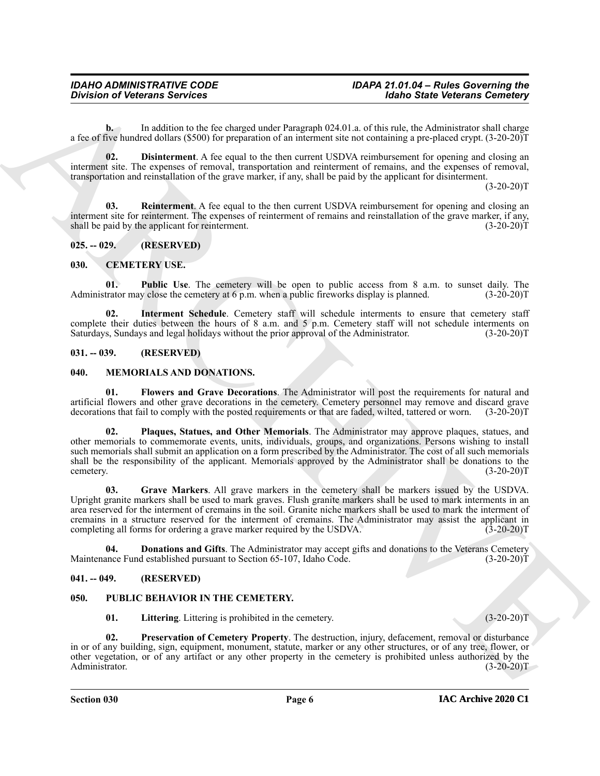**b.** In addition to the fee charged under Paragraph 024.01.a. of this rule, the Administrator shall charge a fee of five hundred dollars (\$500) for preparation of an interment site not containing a pre-placed crypt. (3-20-20)T

<span id="page-5-9"></span>**02. Disinterment**. A fee equal to the then current USDVA reimbursement for opening and closing an interment site. The expenses of removal, transportation and reinterment of remains, and the expenses of removal, transportation and reinstallation of the grave marker, if any, shall be paid by the applicant for disinterment.

 $(3-20-20)T$ 

<span id="page-5-10"></span>**03. Reinterment**. A fee equal to the then current USDVA reimbursement for opening and closing an interment site for reinterment. The expenses of reinterment of remains and reinstallation of the grave marker, if any, shall be paid by the applicant for reinterment. (3-20-20) shall be paid by the applicant for reinterment.

<span id="page-5-0"></span>**025. -- 029. (RESERVED)**

#### <span id="page-5-6"></span><span id="page-5-1"></span>**030. CEMETERY USE.**

<span id="page-5-8"></span>**01. Public Use**. The cemetery will be open to public access from 8 a.m. to sunset daily. The Administrator may close the cemetery at 6 p.m. when a public fireworks display is planned. (3-20-20)T

<span id="page-5-7"></span>**02. Interment Schedule**. Cemetery staff will schedule interments to ensure that cemetery staff complete their duties between the hours of 8 a.m. and 5 p.m. Cemetery staff will not schedule interments on Saturdays, Sundays and legal holidays without the prior approval of the Administrator. (3-20-20) Saturdays, Sundays and legal holidays without the prior approval of the Administrator.

#### <span id="page-5-2"></span>**031. -- 039. (RESERVED)**

#### <span id="page-5-11"></span><span id="page-5-3"></span>**040. MEMORIALS AND DONATIONS.**

<span id="page-5-15"></span><span id="page-5-13"></span>**01. Flowers and Grave Decorations**. The Administrator will post the requirements for natural and artificial flowers and other grave decorations in the cemetery. Cemetery personnel may remove and discard grave decorations that fail to comply with the posted requirements or that are faded, wilted, tattered or worn. (3-20-20)T

**Solution of Velocious Services**<br>
A consider the control of the state of Panapel middle Panapel M2.01. As the first interaction consider the state of the state of the state of the state of the state of the state of the st **02. Plaques, Statues, and Other Memorials**. The Administrator may approve plaques, statues, and other memorials to commemorate events, units, individuals, groups, and organizations. Persons wishing to install such memorials shall submit an application on a form prescribed by the Administrator. The cost of all such memorials shall be the responsibility of the applicant. Memorials approved by the Administrator shall be donations to the cemetery. (3-20-20) cemetery.  $(3-20-20)T$ 

<span id="page-5-14"></span>**03. Grave Markers**. All grave markers in the cemetery shall be markers issued by the USDVA. Upright granite markers shall be used to mark graves. Flush granite markers shall be used to mark interments in an area reserved for the interment of cremains in the soil. Granite niche markers shall be used to mark the interment of cremains in a structure reserved for the interment of cremains. The Administrator may assist the applicant in completing all forms for ordering a grave marker required by the USDVA. (3-20-20)T

<span id="page-5-12"></span>**04. Donations and Gifts**. The Administrator may accept gifts and donations to the Veterans Cemetery ance Fund established pursuant to Section 65-107, Idaho Code. (3-20-20)T Maintenance Fund established pursuant to Section 65-107, Idaho Code.

#### <span id="page-5-4"></span>**041. -- 049. (RESERVED)**

#### <span id="page-5-5"></span>**050. PUBLIC BEHAVIOR IN THE CEMETERY.**

<span id="page-5-18"></span><span id="page-5-17"></span><span id="page-5-16"></span>**01. Littering**. Littering is prohibited in the cemetery. (3-20-20)T

**02. Preservation of Cemetery Property**. The destruction, injury, defacement, removal or disturbance in or of any building, sign, equipment, monument, statute, marker or any other structures, or of any tree, flower, or other vegetation, or of any artifact or any other property in the cemetery is prohibited unless authorized by the Administrator. (3-20-20)T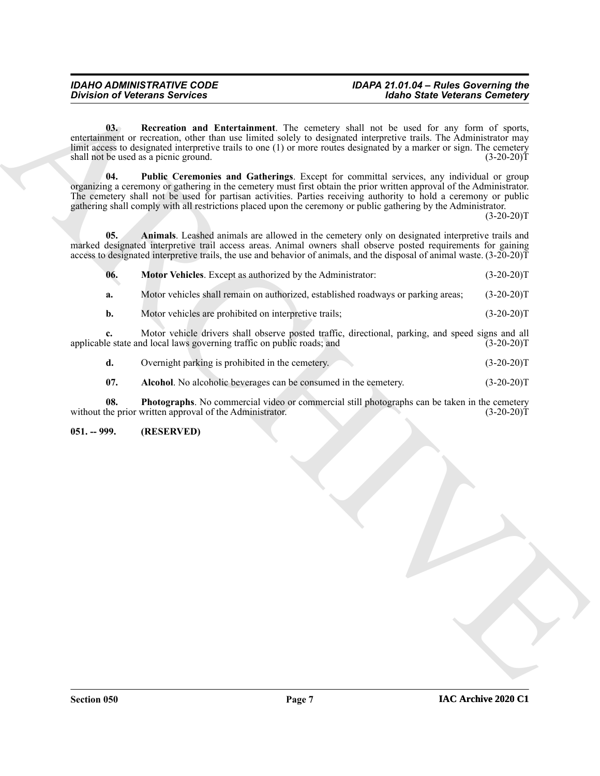#### <span id="page-6-6"></span><span id="page-6-5"></span>*IDAHO ADMINISTRATIVE CODE IDAPA 21.01.04 – Rules Governing the Division of Veterans Services Idaho State Veterans Cemetery*

|                | <b>Division of Veterans Services</b>                                   | <b>Idaho State Veterans Cemetery</b>                                                                                                                                                                                                                                                                                                                                                                                                                     |              |
|----------------|------------------------------------------------------------------------|----------------------------------------------------------------------------------------------------------------------------------------------------------------------------------------------------------------------------------------------------------------------------------------------------------------------------------------------------------------------------------------------------------------------------------------------------------|--------------|
| 03.            | shall not be used as a picnic ground.                                  | Recreation and Entertainment. The cemetery shall not be used for any form of sports,<br>entertainment or recreation, other than use limited solely to designated interpretive trails. The Administrator may<br>limit access to designated interpretive trails to one (1) or more routes designated by a marker or sign. The cemetery                                                                                                                     | $(3-20-20)T$ |
| 04.            |                                                                        | Public Ceremonies and Gatherings. Except for committal services, any individual or group<br>organizing a ceremony or gathering in the cemetery must first obtain the prior written approval of the Administrator.<br>The cemetery shall not be used for partisan activities. Parties receiving authority to hold a ceremony or public<br>gathering shall comply with all restrictions placed upon the ceremony or public gathering by the Administrator. | $(3-20-20)T$ |
| 05.            |                                                                        | Animals. Leashed animals are allowed in the cemetery only on designated interpretive trails and<br>marked designated interpretive trail access areas. Animal owners shall observe posted requirements for gaining<br>access to designated interpretive trails, the use and behavior of animals, and the disposal of animal waste. $(3-20-20)$ T                                                                                                          |              |
| 06.            | Motor Vehicles. Except as authorized by the Administrator:             |                                                                                                                                                                                                                                                                                                                                                                                                                                                          | $(3-20-20)T$ |
| a.             |                                                                        | Motor vehicles shall remain on authorized, established roadways or parking areas;                                                                                                                                                                                                                                                                                                                                                                        | $(3-20-20)T$ |
| $\mathbf{b}$ . | Motor vehicles are prohibited on interpretive trails;                  |                                                                                                                                                                                                                                                                                                                                                                                                                                                          | $(3-20-20)T$ |
| c.             | applicable state and local laws governing traffic on public roads; and | Motor vehicle drivers shall observe posted traffic, directional, parking, and speed signs and all                                                                                                                                                                                                                                                                                                                                                        | $(3-20-20)T$ |
| d.             | Overnight parking is prohibited in the cemetery.                       |                                                                                                                                                                                                                                                                                                                                                                                                                                                          | $(3-20-20)T$ |
| 07.            | Alcohol. No alcoholic beverages can be consumed in the cemetery.       |                                                                                                                                                                                                                                                                                                                                                                                                                                                          | $(3-20-20)T$ |
| 08.            | without the prior written approval of the Administrator.               | Photographs. No commercial video or commercial still photographs can be taken in the cemetery                                                                                                                                                                                                                                                                                                                                                            | $(3-20-20)T$ |
| $051. - 999.$  | (RESERVED)                                                             |                                                                                                                                                                                                                                                                                                                                                                                                                                                          |              |
|                |                                                                        |                                                                                                                                                                                                                                                                                                                                                                                                                                                          |              |
|                |                                                                        |                                                                                                                                                                                                                                                                                                                                                                                                                                                          |              |

<span id="page-6-4"></span><span id="page-6-3"></span><span id="page-6-2"></span><span id="page-6-1"></span>

| d. | Overnight parking is prohibited in the cemetery. | $(3-20-20)T$ |
|----|--------------------------------------------------|--------------|
|----|--------------------------------------------------|--------------|

#### <span id="page-6-0"></span>**051. -- 999. (RESERVED)**